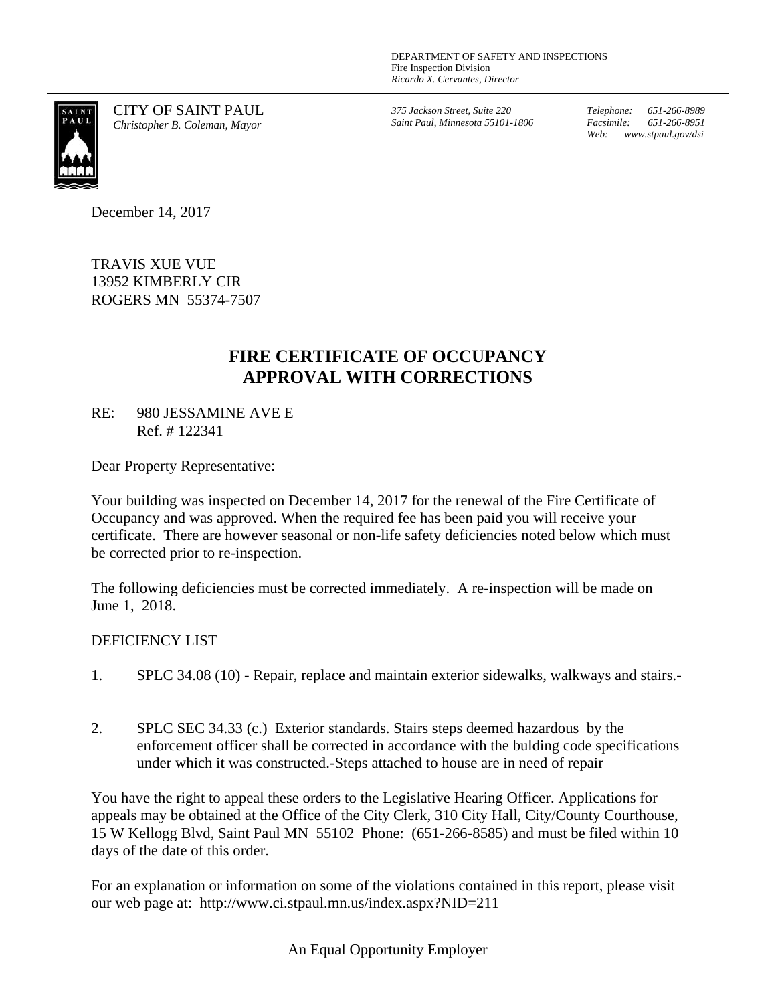DEPARTMENT OF SAFETY AND INSPECTIONS Fire Inspection Division *Ricardo X. Cervantes, Director*



CITY OF SAINT PAUL *Christopher B. Coleman, Mayor*

*375 Jackson Street, Suite 220 Saint Paul, Minnesota 55101-1806*  *Telephone: 651-266-8989 Facsimile: 651-266-8951 Web: www.stpaul.gov/dsi* 

December 14, 2017

TRAVIS XUE VUE 13952 KIMBERLY CIR ROGERS MN 55374-7507

## **FIRE CERTIFICATE OF OCCUPANCY APPROVAL WITH CORRECTIONS**

RE: 980 JESSAMINE AVE E Ref. # 122341

Dear Property Representative:

Your building was inspected on December 14, 2017 for the renewal of the Fire Certificate of Occupancy and was approved. When the required fee has been paid you will receive your certificate. There are however seasonal or non-life safety deficiencies noted below which must be corrected prior to re-inspection.

The following deficiencies must be corrected immediately. A re-inspection will be made on June 1, 2018.

## DEFICIENCY LIST

- 1. SPLC 34.08 (10) Repair, replace and maintain exterior sidewalks, walkways and stairs.-
- 2. SPLC SEC 34.33 (c.) Exterior standards. Stairs steps deemed hazardous by the enforcement officer shall be corrected in accordance with the bulding code specifications under which it was constructed.-Steps attached to house are in need of repair

You have the right to appeal these orders to the Legislative Hearing Officer. Applications for appeals may be obtained at the Office of the City Clerk, 310 City Hall, City/County Courthouse, 15 W Kellogg Blvd, Saint Paul MN 55102 Phone: (651-266-8585) and must be filed within 10 days of the date of this order.

For an explanation or information on some of the violations contained in this report, please visit our web page at: http://www.ci.stpaul.mn.us/index.aspx?NID=211

An Equal Opportunity Employer